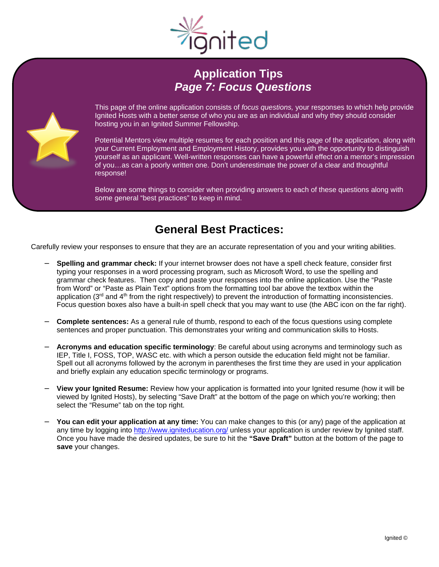

# **Application Tips** *Page 7: Focus Questions*



This page of the online application consists of *focus questions,* your responses to which help provide Ignited Hosts with a better sense of who you are as an individual and why they should consider hosting you in an Ignited Summer Fellowship.

Potential Mentors view multiple resumes for each position and this page of the application, along with your Current Employment and Employment History, provides you with the opportunity to distinguish yourself as an applicant. Well-written responses can have a powerful effect on a mentor's impression of you…as can a poorly written one. Don't underestimate the power of a clear and thoughtful response!

Below are some things to consider when providing answers to each of these questions along with some general "best practices" to keep in mind.

## **General Best Practices:**

Carefully review your responses to ensure that they are an accurate representation of you and your writing abilities.

- **Spelling and grammar check:** If your internet browser does not have a spell check feature, consider first typing your responses in a word processing program, such as Microsoft Word, to use the spelling and grammar check features. Then copy and paste your responses into the online application. Use the "Paste from Word" or "Paste as Plain Text" options from the formatting tool bar above the textbox within the application (3<sup>rd</sup> and 4<sup>th</sup> from the right respectively) to prevent the introduction of formatting inconsistencies. Focus question boxes also have a built-in spell check that you may want to use (the ABC icon on the far right).
- **Complete sentences:** As a general rule of thumb, respond to each of the focus questions using complete L. sentences and proper punctuation. This demonstrates your writing and communication skills to Hosts.
- **Acronyms and education specific terminology**: Be careful about using acronyms and terminology such as IEP, Title I, FOSS, TOP, WASC etc. with which a person outside the education field might not be familiar. Spell out all acronyms followed by the acronym in parentheses the first time they are used in your application and briefly explain any education specific terminology or programs.
- $\overline{a}$ **View your Ignited Resume:** Review how your application is formatted into your Ignited resume (how it will be viewed by Ignited Hosts), by selecting "Save Draft" at the bottom of the page on which you're working; then select the "Resume" tab on the top right.
- **You can edit your application at any time:** You can make changes to this (or any) page of the application at any time by logging into<http://www.igniteducation.org/> unless your application is under review by Ignited staff. Once you have made the desired updates, be sure to hit the **"Save Draft"** button at the bottom of the page to **save** your changes.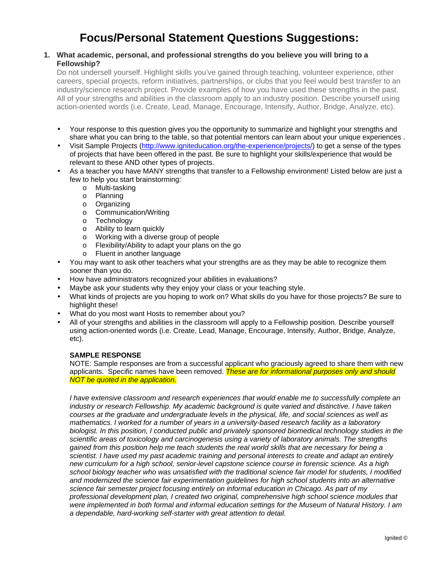# **Focus/Personal Statement Questions Suggestions:**

### **1. What academic, personal, and professional strengths do you believe you will bring to a Fellowship?**

Do not undersell yourself. Highlight skills you've gained through teaching, volunteer experience, other careers, special projects, reform initiatives, partnerships, or clubs that you feel would best transfer to an industry/science research project. Provide examples of how you have used these strengths in the past. All of your strengths and abilities in the classroom apply to an industry position. Describe yourself using action-oriented words (i.e. Create, Lead, Manage, Encourage, Intensify, Author, Bridge, Analyze, etc).

- ÷. Your response to this question gives you the opportunity to summarize and highlight your strengths and share what you can bring to the table, so that potential mentors can learn about your unique experiences .
- Visit Sample Projects (http://www.igniteducation.org/the-experience/projects/) to get a sense of the types of projects that have been offered in the past. Be sure to highlight your skills/experience that would be relevant to these AND other types of projects.
- As a teacher you have MANY strengths that transfer to a Fellowship environment! Listed below are just a few to help you start brainstorming:
	- o Multi-tasking
	- o Planning
	- o Organizing
	- o Communication/Writing
	- o Technology
	- o Ability to learn quickly
	- o Working with a diverse group of people
	- o Flexibility/Ability to adapt your plans on the go
	- o Fluent in another language
- You may want to ask other teachers what your strengths are as they may be able to recognize them t. sooner than you do.
- How have administrators recognized your abilities in evaluations?
- Maybe ask your students why they enjoy your class or your teaching style.
- What kinds of projects are you hoping to work on? What skills do you have for those projects? Be sure to highlight these!
- What do you most want Hosts to remember about you?
- All of your strengths and abilities in the classroom will apply to a Fellowship position. Describe yourself using action-oriented words (i.e. Create, Lead, Manage, Encourage, Intensify, Author, Bridge, Analyze, etc).

#### **SAMPLE RESPONSE**

NOTE: Sample responses are from a successful applicant who graciously agreed to share them with new applicants. Specific names have been removed. *These are for informational purposes only and should NOT be quoted in the application.*

*I have extensive classroom and research experiences that would enable me to successfully complete an industry or research Fellowship. My academic background is quite varied and distinctive. I have taken courses at the graduate and undergraduate levels in the physical, life, and social sciences as well as mathematics. I worked for a number of years in a university-based research facility as a laboratory biologist. In this position, I conducted public and privately sponsored biomedical technology studies in the scientific areas of toxicology and carcinogenesis using a variety of laboratory animals. The strengths gained from this position help me teach students the real world skills that are necessary for being a scientist. I have used my past academic training and personal interests to create and adapt an entirely new curriculum for a high school, senior-level capstone science course in forensic science. As a high school biology teacher who was unsatisfied with the traditional science fair model for students, I modified and modernized the science fair experimentation guidelines for high school students into an alternative science fair semester project focusing entirely on informal education in Chicago. As part of my professional development plan, I created two original, comprehensive high school science modules that were implemented in both formal and informal education settings for the Museum of Natural History. I am a dependable, hard-working self-starter with great attention to detail.*